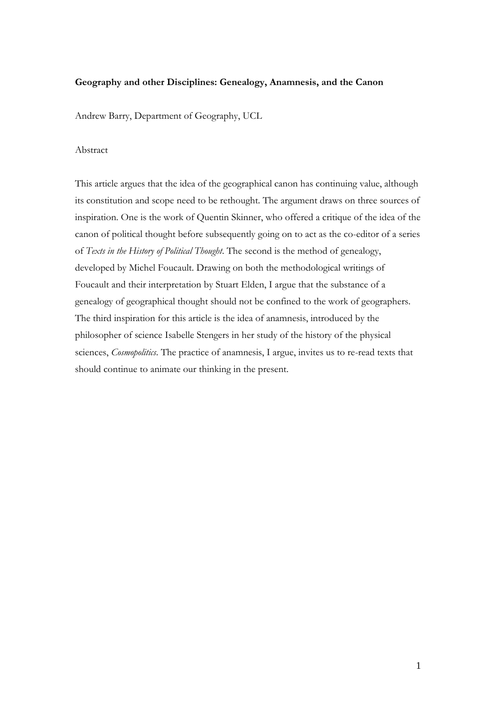# **Geography and other Disciplines: Genealogy, Anamnesis, and the Canon**

Andrew Barry, Department of Geography, UCL

#### Abstract

This article argues that the idea of the geographical canon has continuing value, although its constitution and scope need to be rethought. The argument draws on three sources of inspiration. One is the work of Quentin Skinner, who offered a critique of the idea of the canon of political thought before subsequently going on to act as the co-editor of a series of *Texts in the History of Political Thought*. The second is the method of genealogy, developed by Michel Foucault. Drawing on both the methodological writings of Foucault and their interpretation by Stuart Elden, I argue that the substance of a genealogy of geographical thought should not be confined to the work of geographers. The third inspiration for this article is the idea of anamnesis, introduced by the philosopher of science Isabelle Stengers in her study of the history of the physical sciences, *Cosmopolitics*. The practice of anamnesis, I argue, invites us to re-read texts that should continue to animate our thinking in the present.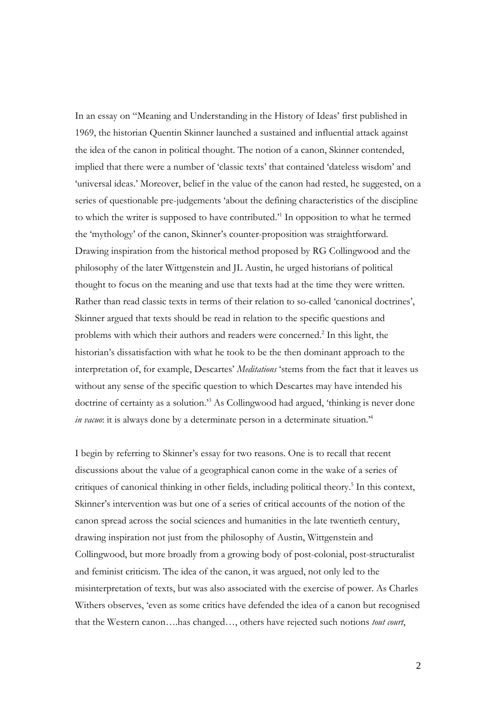In an essay on "Meaning and Understanding in the History of Ideas' first published in 1969, the historian Quentin Skinner launched a sustained and influential attack against the idea of the canon in political thought. The notion of a canon, Skinner contended, implied that there were a number of 'classic texts' that contained 'dateless wisdom' and 'universal ideas.' Moreover, belief in the value of the canon had rested, he suggested, on a series of questionable pre-judgements 'about the defining characteristics of the discipline to which the writer is supposed to have contributed.' 1 In opposition to what he termed the 'mythology' of the canon, Skinner's counter-proposition was straightforward. Drawing inspiration from the historical method proposed by RG Collingwood and the philosophy of the later Wittgenstein and JL Austin, he urged historians of political thought to focus on the meaning and use that texts had at the time they were written. Rather than read classic texts in terms of their relation to so-called 'canonical doctrines', Skinner argued that texts should be read in relation to the specific questions and problems with which their authors and readers were concerned. 2 In this light, the historian's dissatisfaction with what he took to be the then dominant approach to the interpretation of, for example, Descartes' *Meditations* 'stems from the fact that it leaves us without any sense of the specific question to which Descartes may have intended his doctrine of certainty as a solution.' <sup>3</sup> As Collingwood had argued, 'thinking is never done *in vacuo*: it is always done by a determinate person in a determinate situation.' 4

I begin by referring to Skinner's essay for two reasons. One is to recall that recent discussions about the value of a geographical canon come in the wake of a series of critiques of canonical thinking in other fields, including political theory. 5 In this context, Skinner's intervention was but one of a series of critical accounts of the notion of the canon spread across the social sciences and humanities in the late twentieth century, drawing inspiration not just from the philosophy of Austin, Wittgenstein and Collingwood, but more broadly from a growing body of post-colonial, post-structuralist and feminist criticism. The idea of the canon, it was argued, not only led to the misinterpretation of texts, but was also associated with the exercise of power. As Charles Withers observes, 'even as some critics have defended the idea of a canon but recognised that the Western canon….has changed…, others have rejected such notions *tout court*,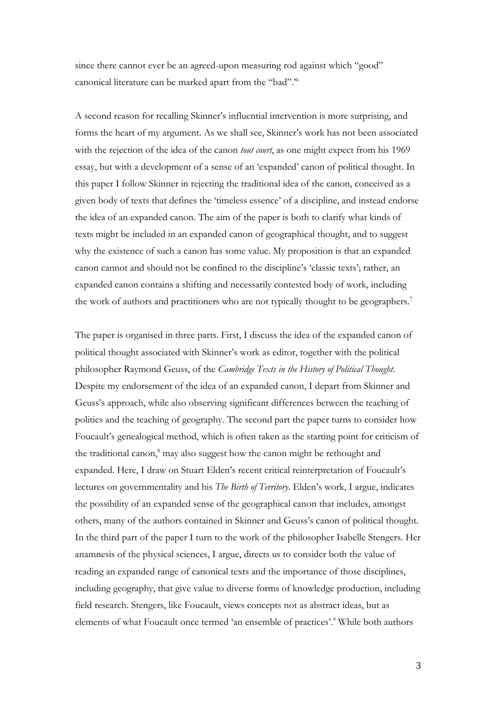since there cannot ever be an agreed-upon measuring rod against which "good" canonical literature can be marked apart from the "bad".' 6

A second reason for recalling Skinner's influential intervention is more surprising, and forms the heart of my argument. As we shall see, Skinner's work has not been associated with the rejection of the idea of the canon *tout court*, as one might expect from his 1969 essay, but with a development of a sense of an 'expanded' canon of political thought. In this paper I follow Skinner in rejecting the traditional idea of the canon, conceived as a given body of texts that defines the 'timeless essence' of a discipline, and instead endorse the idea of an expanded canon. The aim of the paper is both to clarify what kinds of texts might be included in an expanded canon of geographical thought, and to suggest why the existence of such a canon has some value. My proposition is that an expanded canon cannot and should not be confined to the discipline's 'classic texts'; rather, an expanded canon contains a shifting and necessarily contested body of work, including the work of authors and practitioners who are not typically thought to be geographers. 7

The paper is organised in three parts. First, I discuss the idea of the expanded canon of political thought associated with Skinner's work as editor, together with the political philosopher Raymond Geuss, of the *Cambridge Texts in the History of Political Thought*. Despite my endorsement of the idea of an expanded canon, I depart from Skinner and Geuss's approach, while also observing significant differences between the teaching of politics and the teaching of geography. The second part the paper turns to consider how Foucault's genealogical method, which is often taken as the starting point for criticism of the traditional canon, $\delta$  may also suggest how the canon might be rethought and expanded. Here, I draw on Stuart Elden's recent critical reinterpretation of Foucault's lectures on governmentality and his *The Birth of Territory*. Elden's work, I argue, indicates the possibility of an expanded sense of the geographical canon that includes, amongst others, many of the authors contained in Skinner and Geuss's canon of political thought. In the third part of the paper I turn to the work of the philosopher Isabelle Stengers. Her anamnesis of the physical sciences, I argue, directs us to consider both the value of reading an expanded range of canonical texts and the importance of those disciplines, including geography, that give value to diverse forms of knowledge production, including field research. Stengers, like Foucault, views concepts not as abstract ideas, but as elements of what Foucault once termed 'an ensemble of practices'.<sup>9</sup> While both authors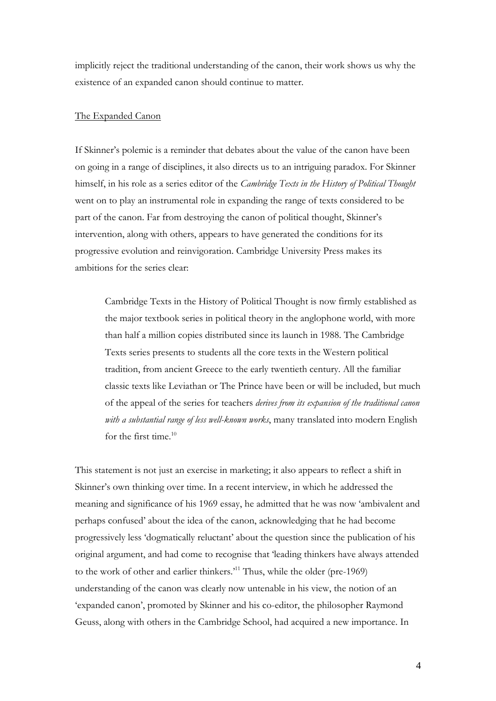implicitly reject the traditional understanding of the canon, their work shows us why the existence of an expanded canon should continue to matter.

### The Expanded Canon

If Skinner's polemic is a reminder that debates about the value of the canon have been on going in a range of disciplines, it also directs us to an intriguing paradox. For Skinner himself, in his role as a series editor of the *Cambridge Texts in the History of Political Thought* went on to play an instrumental role in expanding the range of texts considered to be part of the canon. Far from destroying the canon of political thought, Skinner's intervention, along with others, appears to have generated the conditions for its progressive evolution and reinvigoration. Cambridge University Press makes its ambitions for the series clear:

Cambridge Texts in the History of Political Thought is now firmly established as the major textbook series in political theory in the anglophone world, with more than half a million copies distributed since its launch in 1988. The Cambridge Texts series presents to students all the core texts in the Western political tradition, from ancient Greece to the early twentieth century. All the familiar classic texts like Leviathan or The Prince have been or will be included, but much of the appeal of the series for teachers *derives from its expansion of the traditional canon with a substantial range of less well-known works*, many translated into modern English for the first time.<sup>10</sup>

This statement is not just an exercise in marketing; it also appears to reflect a shift in Skinner's own thinking over time. In a recent interview, in which he addressed the meaning and significance of his 1969 essay, he admitted that he was now 'ambivalent and perhaps confused' about the idea of the canon, acknowledging that he had become progressively less 'dogmatically reluctant' about the question since the publication of his original argument, and had come to recognise that 'leading thinkers have always attended to the work of other and earlier thinkers.<sup>11</sup> Thus, while the older (pre-1969) understanding of the canon was clearly now untenable in his view, the notion of an 'expanded canon', promoted by Skinner and his co-editor, the philosopher Raymond Geuss, along with others in the Cambridge School, had acquired a new importance. In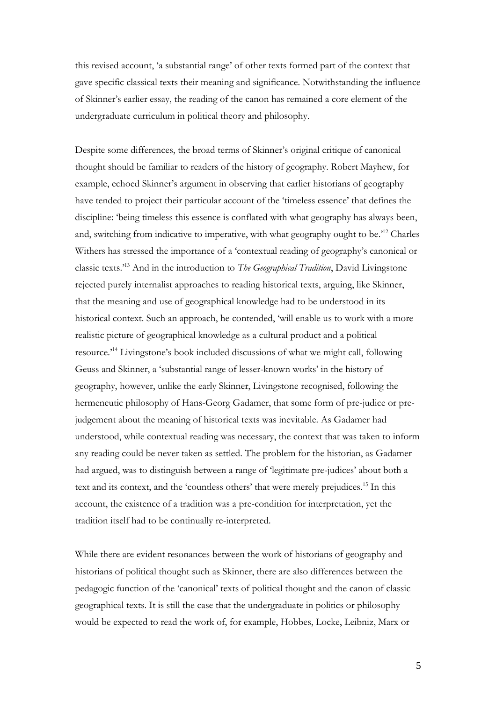this revised account, 'a substantial range' of other texts formed part of the context that gave specific classical texts their meaning and significance. Notwithstanding the influence of Skinner's earlier essay, the reading of the canon has remained a core element of the undergraduate curriculum in political theory and philosophy.

Despite some differences, the broad terms of Skinner's original critique of canonical thought should be familiar to readers of the history of geography. Robert Mayhew, for example, echoed Skinner's argument in observing that earlier historians of geography have tended to project their particular account of the 'timeless essence' that defines the discipline: 'being timeless this essence is conflated with what geography has always been, and, switching from indicative to imperative, with what geography ought to be.' <sup>12</sup> Charles Withers has stressed the importance of a 'contextual reading of geography's canonical or classic texts.' <sup>13</sup> And in the introduction to *The Geographical Tradition*, David Livingstone rejected purely internalist approaches to reading historical texts, arguing, like Skinner, that the meaning and use of geographical knowledge had to be understood in its historical context. Such an approach, he contended, 'will enable us to work with a more realistic picture of geographical knowledge as a cultural product and a political resource.' <sup>14</sup> Livingstone's book included discussions of what we might call, following Geuss and Skinner, a 'substantial range of lesser-known works' in the history of geography, however, unlike the early Skinner, Livingstone recognised, following the hermeneutic philosophy of Hans-Georg Gadamer, that some form of pre-judice or prejudgement about the meaning of historical texts was inevitable. As Gadamer had understood, while contextual reading was necessary, the context that was taken to inform any reading could be never taken as settled. The problem for the historian, as Gadamer had argued, was to distinguish between a range of 'legitimate pre-judices' about both a text and its context, and the 'countless others' that were merely prejudices.<sup>15</sup> In this account, the existence of a tradition was a pre-condition for interpretation, yet the tradition itself had to be continually re-interpreted.

While there are evident resonances between the work of historians of geography and historians of political thought such as Skinner, there are also differences between the pedagogic function of the 'canonical' texts of political thought and the canon of classic geographical texts. It is still the case that the undergraduate in politics or philosophy would be expected to read the work of, for example, Hobbes, Locke, Leibniz, Marx or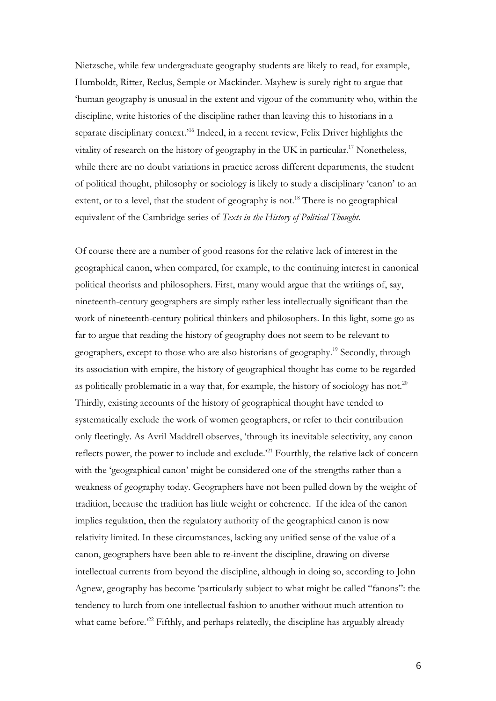Nietzsche, while few undergraduate geography students are likely to read, for example, Humboldt, Ritter, Reclus, Semple or Mackinder. Mayhew is surely right to argue that 'human geography is unusual in the extent and vigour of the community who, within the discipline, write histories of the discipline rather than leaving this to historians in a separate disciplinary context.' <sup>16</sup> Indeed, in a recent review, Felix Driver highlights the vitality of research on the history of geography in the UK in particular.<sup>17</sup> Nonetheless, while there are no doubt variations in practice across different departments, the student of political thought, philosophy or sociology is likely to study a disciplinary 'canon' to an extent, or to a level, that the student of geography is not.<sup>18</sup> There is no geographical equivalent of the Cambridge series of *Texts in the History of Political Thought*.

Of course there are a number of good reasons for the relative lack of interest in the geographical canon, when compared, for example, to the continuing interest in canonical political theorists and philosophers. First, many would argue that the writings of, say, nineteenth-century geographers are simply rather less intellectually significant than the work of nineteenth-century political thinkers and philosophers. In this light, some go as far to argue that reading the history of geography does not seem to be relevant to geographers, except to those who are also historians of geography.<sup>19</sup> Secondly, through its association with empire, the history of geographical thought has come to be regarded as politically problematic in a way that, for example, the history of sociology has not.<sup>20</sup> Thirdly, existing accounts of the history of geographical thought have tended to systematically exclude the work of women geographers, or refer to their contribution only fleetingly. As Avril Maddrell observes, 'through its inevitable selectivity, any canon reflects power, the power to include and exclude.'<sup>21</sup> Fourthly, the relative lack of concern with the 'geographical canon' might be considered one of the strengths rather than a weakness of geography today. Geographers have not been pulled down by the weight of tradition, because the tradition has little weight or coherence. If the idea of the canon implies regulation, then the regulatory authority of the geographical canon is now relativity limited. In these circumstances, lacking any unified sense of the value of a canon, geographers have been able to re-invent the discipline, drawing on diverse intellectual currents from beyond the discipline, although in doing so, according to John Agnew, geography has become 'particularly subject to what might be called "fanons": the tendency to lurch from one intellectual fashion to another without much attention to what came before.<sup>22</sup> Fifthly, and perhaps relatedly, the discipline has arguably already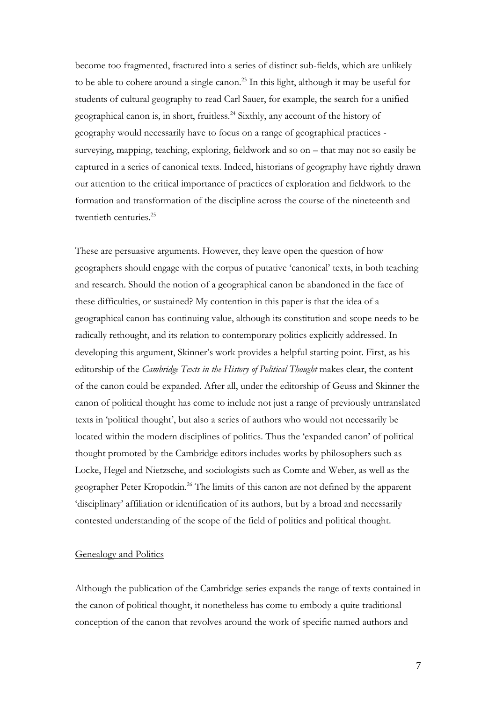become too fragmented, fractured into a series of distinct sub-fields, which are unlikely to be able to cohere around a single canon.<sup>23</sup> In this light, although it may be useful for students of cultural geography to read Carl Sauer, for example, the search for a unified geographical canon is, in short, fruitless.<sup>24</sup> Sixthly, any account of the history of geography would necessarily have to focus on a range of geographical practices surveying, mapping, teaching, exploring, fieldwork and so on – that may not so easily be captured in a series of canonical texts. Indeed, historians of geography have rightly drawn our attention to the critical importance of practices of exploration and fieldwork to the formation and transformation of the discipline across the course of the nineteenth and twentieth centuries.<sup>25</sup>

These are persuasive arguments. However, they leave open the question of how geographers should engage with the corpus of putative 'canonical' texts, in both teaching and research. Should the notion of a geographical canon be abandoned in the face of these difficulties, or sustained? My contention in this paper is that the idea of a geographical canon has continuing value, although its constitution and scope needs to be radically rethought, and its relation to contemporary politics explicitly addressed. In developing this argument, Skinner's work provides a helpful starting point. First, as his editorship of the *Cambridge Texts in the History of Political Thought* makes clear, the content of the canon could be expanded. After all, under the editorship of Geuss and Skinner the canon of political thought has come to include not just a range of previously untranslated texts in 'political thought', but also a series of authors who would not necessarily be located within the modern disciplines of politics. Thus the 'expanded canon' of political thought promoted by the Cambridge editors includes works by philosophers such as Locke, Hegel and Nietzsche, and sociologists such as Comte and Weber, as well as the geographer Peter Kropotkin.<sup>26</sup> The limits of this canon are not defined by the apparent 'disciplinary' affiliation or identification of its authors, but by a broad and necessarily contested understanding of the scope of the field of politics and political thought.

# Genealogy and Politics

Although the publication of the Cambridge series expands the range of texts contained in the canon of political thought, it nonetheless has come to embody a quite traditional conception of the canon that revolves around the work of specific named authors and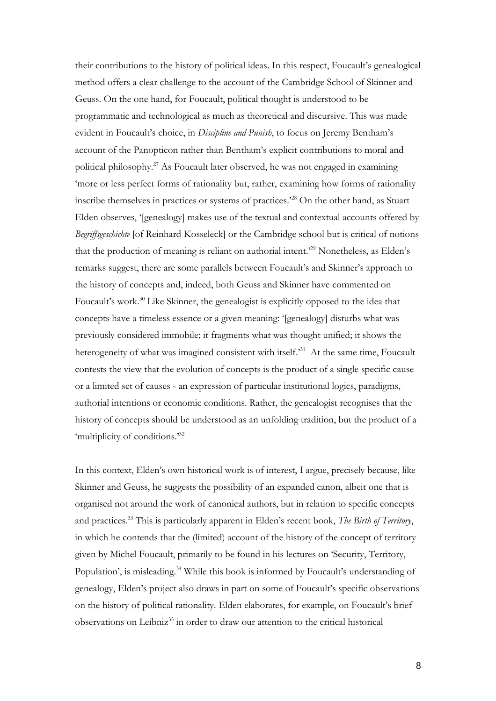their contributions to the history of political ideas. In this respect, Foucault's genealogical method offers a clear challenge to the account of the Cambridge School of Skinner and Geuss. On the one hand, for Foucault, political thought is understood to be programmatic and technological as much as theoretical and discursive. This was made evident in Foucault's choice, in *Discipline and Punish*, to focus on Jeremy Bentham's account of the Panopticon rather than Bentham's explicit contributions to moral and political philosophy.<sup>27</sup> As Foucault later observed, he was not engaged in examining 'more or less perfect forms of rationality but, rather, examining how forms of rationality inscribe themselves in practices or systems of practices.' <sup>28</sup> On the other hand, as Stuart Elden observes, '[genealogy] makes use of the textual and contextual accounts offered by *Begriffsgeschichte* [of Reinhard Kosseleck] or the Cambridge school but is critical of notions that the production of meaning is reliant on authorial intent.<sup>29</sup> Nonetheless, as Elden's remarks suggest, there are some parallels between Foucault's and Skinner's approach to the history of concepts and, indeed, both Geuss and Skinner have commented on Foucault's work.<sup>30</sup> Like Skinner, the genealogist is explicitly opposed to the idea that concepts have a timeless essence or a given meaning: '[genealogy] disturbs what was previously considered immobile; it fragments what was thought unified; it shows the heterogeneity of what was imagined consistent with itself.<sup>31</sup> At the same time, Foucault contests the view that the evolution of concepts is the product of a single specific cause or a limited set of causes - an expression of particular institutional logics, paradigms, authorial intentions or economic conditions. Rather, the genealogist recognises that the history of concepts should be understood as an unfolding tradition, but the product of a 'multiplicity of conditions.'<sup>32</sup>

In this context, Elden's own historical work is of interest, I argue, precisely because, like Skinner and Geuss, he suggests the possibility of an expanded canon, albeit one that is organised not around the work of canonical authors, but in relation to specific concepts and practices. <sup>33</sup> This is particularly apparent in Elden's recent book, *The Birth of Territory*, in which he contends that the (limited) account of the history of the concept of territory given by Michel Foucault, primarily to be found in his lectures on 'Security, Territory, Population', is misleading.<sup>34</sup> While this book is informed by Foucault's understanding of genealogy, Elden's project also draws in part on some of Foucault's specific observations on the history of political rationality. Elden elaborates, for example, on Foucault's brief observations on Leibniz<sup>35</sup> in order to draw our attention to the critical historical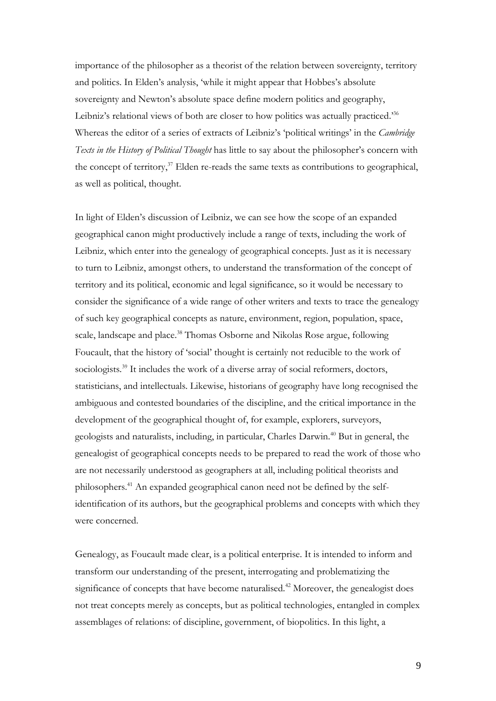importance of the philosopher as a theorist of the relation between sovereignty, territory and politics. In Elden's analysis, 'while it might appear that Hobbes's absolute sovereignty and Newton's absolute space define modern politics and geography, Leibniz's relational views of both are closer to how politics was actually practiced.' 36 Whereas the editor of a series of extracts of Leibniz's 'political writings' in the *Cambridge Texts in the History of Political Thought* has little to say about the philosopher's concern with the concept of territory, $37$  Elden re-reads the same texts as contributions to geographical, as well as political, thought.

In light of Elden's discussion of Leibniz, we can see how the scope of an expanded geographical canon might productively include a range of texts, including the work of Leibniz, which enter into the genealogy of geographical concepts. Just as it is necessary to turn to Leibniz, amongst others, to understand the transformation of the concept of territory and its political, economic and legal significance, so it would be necessary to consider the significance of a wide range of other writers and texts to trace the genealogy of such key geographical concepts as nature, environment, region, population, space, scale, landscape and place.<sup>38</sup> Thomas Osborne and Nikolas Rose argue, following Foucault, that the history of 'social' thought is certainly not reducible to the work of sociologists.<sup>39</sup> It includes the work of a diverse array of social reformers, doctors, statisticians, and intellectuals. Likewise, historians of geography have long recognised the ambiguous and contested boundaries of the discipline, and the critical importance in the development of the geographical thought of, for example, explorers, surveyors, geologists and naturalists, including, in particular, Charles Darwin.<sup>40</sup> But in general, the genealogist of geographical concepts needs to be prepared to read the work of those who are not necessarily understood as geographers at all, including political theorists and philosophers.<sup>41</sup> An expanded geographical canon need not be defined by the selfidentification of its authors, but the geographical problems and concepts with which they were concerned.

Genealogy, as Foucault made clear, is a political enterprise. It is intended to inform and transform our understanding of the present, interrogating and problematizing the significance of concepts that have become naturalised.<sup>42</sup> Moreover, the genealogist does not treat concepts merely as concepts, but as political technologies, entangled in complex assemblages of relations: of discipline, government, of biopolitics. In this light, a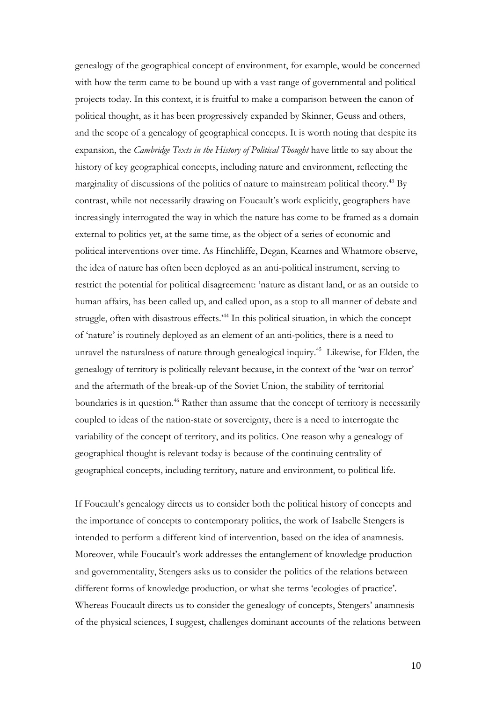genealogy of the geographical concept of environment, for example, would be concerned with how the term came to be bound up with a vast range of governmental and political projects today. In this context, it is fruitful to make a comparison between the canon of political thought, as it has been progressively expanded by Skinner, Geuss and others, and the scope of a genealogy of geographical concepts. It is worth noting that despite its expansion, the *Cambridge Texts in the History of Political Thought* have little to say about the history of key geographical concepts, including nature and environment, reflecting the marginality of discussions of the politics of nature to mainstream political theory.<sup>43</sup> By contrast, while not necessarily drawing on Foucault's work explicitly, geographers have increasingly interrogated the way in which the nature has come to be framed as a domain external to politics yet, at the same time, as the object of a series of economic and political interventions over time. As Hinchliffe, Degan, Kearnes and Whatmore observe, the idea of nature has often been deployed as an anti-political instrument, serving to restrict the potential for political disagreement: 'nature as distant land, or as an outside to human affairs, has been called up, and called upon, as a stop to all manner of debate and struggle, often with disastrous effects.' <sup>44</sup> In this political situation, in which the concept of 'nature' is routinely deployed as an element of an anti-politics, there is a need to unravel the naturalness of nature through genealogical inquiry.<sup>45</sup> Likewise, for Elden, the genealogy of territory is politically relevant because, in the context of the 'war on terror' and the aftermath of the break-up of the Soviet Union, the stability of territorial boundaries is in question.<sup>46</sup> Rather than assume that the concept of territory is necessarily coupled to ideas of the nation-state or sovereignty, there is a need to interrogate the variability of the concept of territory, and its politics. One reason why a genealogy of geographical thought is relevant today is because of the continuing centrality of geographical concepts, including territory, nature and environment, to political life.

If Foucault's genealogy directs us to consider both the political history of concepts and the importance of concepts to contemporary politics, the work of Isabelle Stengers is intended to perform a different kind of intervention, based on the idea of anamnesis. Moreover, while Foucault's work addresses the entanglement of knowledge production and governmentality, Stengers asks us to consider the politics of the relations between different forms of knowledge production, or what she terms 'ecologies of practice'. Whereas Foucault directs us to consider the genealogy of concepts, Stengers' anamnesis of the physical sciences, I suggest, challenges dominant accounts of the relations between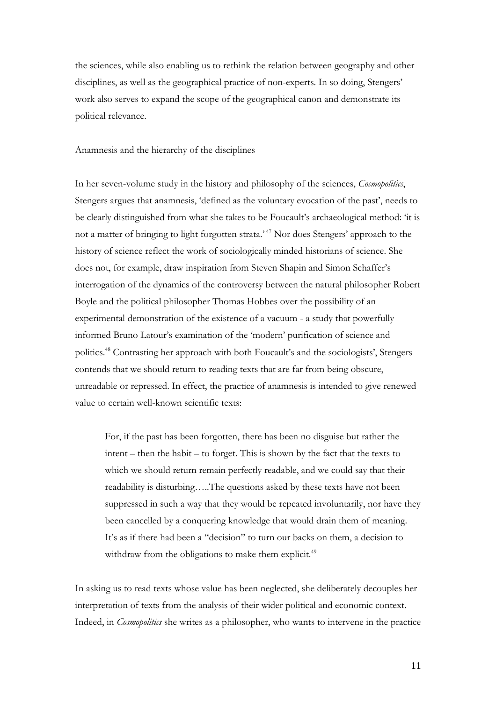the sciences, while also enabling us to rethink the relation between geography and other disciplines, as well as the geographical practice of non-experts. In so doing, Stengers' work also serves to expand the scope of the geographical canon and demonstrate its political relevance.

#### Anamnesis and the hierarchy of the disciplines

In her seven-volume study in the history and philosophy of the sciences, *Cosmopolitics*, Stengers argues that anamnesis, 'defined as the voluntary evocation of the past', needs to be clearly distinguished from what she takes to be Foucault's archaeological method: 'it is not a matter of bringing to light forgotten strata.' <sup>47</sup> Nor does Stengers' approach to the history of science reflect the work of sociologically minded historians of science. She does not, for example, draw inspiration from Steven Shapin and Simon Schaffer's interrogation of the dynamics of the controversy between the natural philosopher Robert Boyle and the political philosopher Thomas Hobbes over the possibility of an experimental demonstration of the existence of a vacuum - a study that powerfully informed Bruno Latour's examination of the 'modern' purification of science and politics.<sup>48</sup> Contrasting her approach with both Foucault's and the sociologists', Stengers contends that we should return to reading texts that are far from being obscure, unreadable or repressed. In effect, the practice of anamnesis is intended to give renewed value to certain well-known scientific texts:

For, if the past has been forgotten, there has been no disguise but rather the intent – then the habit – to forget. This is shown by the fact that the texts to which we should return remain perfectly readable, and we could say that their readability is disturbing…..The questions asked by these texts have not been suppressed in such a way that they would be repeated involuntarily, nor have they been cancelled by a conquering knowledge that would drain them of meaning. It's as if there had been a "decision" to turn our backs on them, a decision to withdraw from the obligations to make them explicit.<sup>49</sup>

In asking us to read texts whose value has been neglected, she deliberately decouples her interpretation of texts from the analysis of their wider political and economic context. Indeed, in *Cosmopolitics* she writes as a philosopher, who wants to intervene in the practice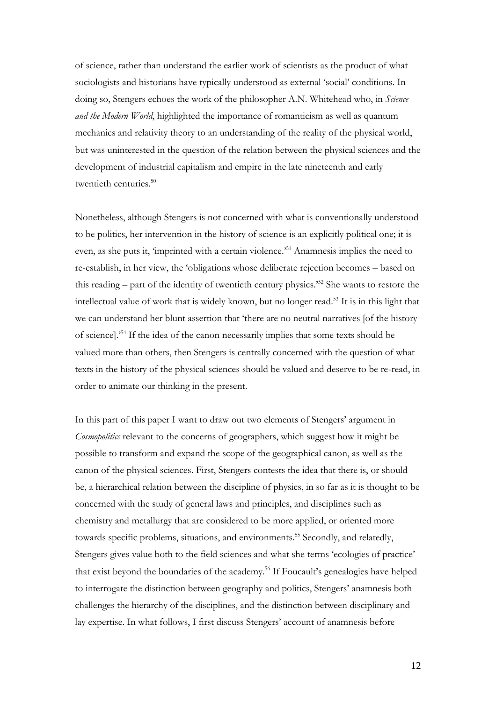of science, rather than understand the earlier work of scientists as the product of what sociologists and historians have typically understood as external 'social' conditions. In doing so, Stengers echoes the work of the philosopher A.N. Whitehead who, in *Science and the Modern World*, highlighted the importance of romanticism as well as quantum mechanics and relativity theory to an understanding of the reality of the physical world, but was uninterested in the question of the relation between the physical sciences and the development of industrial capitalism and empire in the late nineteenth and early twentieth centuries.<sup>50</sup>

Nonetheless, although Stengers is not concerned with what is conventionally understood to be politics, her intervention in the history of science is an explicitly political one; it is even, as she puts it, 'imprinted with a certain violence.<sup>51</sup> Anamnesis implies the need to re-establish, in her view, the 'obligations whose deliberate rejection becomes – based on this reading – part of the identity of twentieth century physics.' <sup>52</sup> She wants to restore the intellectual value of work that is widely known, but no longer read.<sup>53</sup> It is in this light that we can understand her blunt assertion that 'there are no neutral narratives [of the history of science].' <sup>54</sup> If the idea of the canon necessarily implies that some texts should be valued more than others, then Stengers is centrally concerned with the question of what texts in the history of the physical sciences should be valued and deserve to be re-read, in order to animate our thinking in the present.

In this part of this paper I want to draw out two elements of Stengers' argument in *Cosmopolitics* relevant to the concerns of geographers, which suggest how it might be possible to transform and expand the scope of the geographical canon, as well as the canon of the physical sciences. First, Stengers contests the idea that there is, or should be, a hierarchical relation between the discipline of physics, in so far as it is thought to be concerned with the study of general laws and principles, and disciplines such as chemistry and metallurgy that are considered to be more applied, or oriented more towards specific problems, situations, and environments.<sup>55</sup> Secondly, and relatedly, Stengers gives value both to the field sciences and what she terms 'ecologies of practice' that exist beyond the boundaries of the academy.<sup>56</sup> If Foucault's genealogies have helped to interrogate the distinction between geography and politics, Stengers' anamnesis both challenges the hierarchy of the disciplines, and the distinction between disciplinary and lay expertise. In what follows, I first discuss Stengers' account of anamnesis before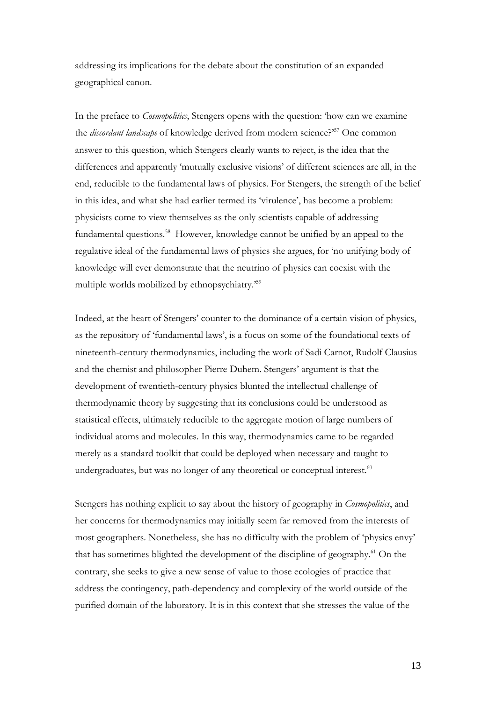addressing its implications for the debate about the constitution of an expanded geographical canon.

In the preface to *Cosmopolitics*, Stengers opens with the question: 'how can we examine the *discordant landscape* of knowledge derived from modern science?'<sup>57</sup> One common answer to this question, which Stengers clearly wants to reject, is the idea that the differences and apparently 'mutually exclusive visions' of different sciences are all, in the end, reducible to the fundamental laws of physics. For Stengers, the strength of the belief in this idea, and what she had earlier termed its 'virulence', has become a problem: physicists come to view themselves as the only scientists capable of addressing fundamental questions. 58 However, knowledge cannot be unified by an appeal to the regulative ideal of the fundamental laws of physics she argues, for 'no unifying body of knowledge will ever demonstrate that the neutrino of physics can coexist with the multiple worlds mobilized by ethnopsychiatry.' 59

Indeed, at the heart of Stengers' counter to the dominance of a certain vision of physics, as the repository of 'fundamental laws', is a focus on some of the foundational texts of nineteenth-century thermodynamics, including the work of Sadi Carnot, Rudolf Clausius and the chemist and philosopher Pierre Duhem. Stengers' argument is that the development of twentieth-century physics blunted the intellectual challenge of thermodynamic theory by suggesting that its conclusions could be understood as statistical effects, ultimately reducible to the aggregate motion of large numbers of individual atoms and molecules. In this way, thermodynamics came to be regarded merely as a standard toolkit that could be deployed when necessary and taught to undergraduates, but was no longer of any theoretical or conceptual interest.<sup>60</sup>

Stengers has nothing explicit to say about the history of geography in *Cosmopolitics*, and her concerns for thermodynamics may initially seem far removed from the interests of most geographers. Nonetheless, she has no difficulty with the problem of 'physics envy' that has sometimes blighted the development of the discipline of geography.<sup>61</sup> On the contrary, she seeks to give a new sense of value to those ecologies of practice that address the contingency, path-dependency and complexity of the world outside of the purified domain of the laboratory. It is in this context that she stresses the value of the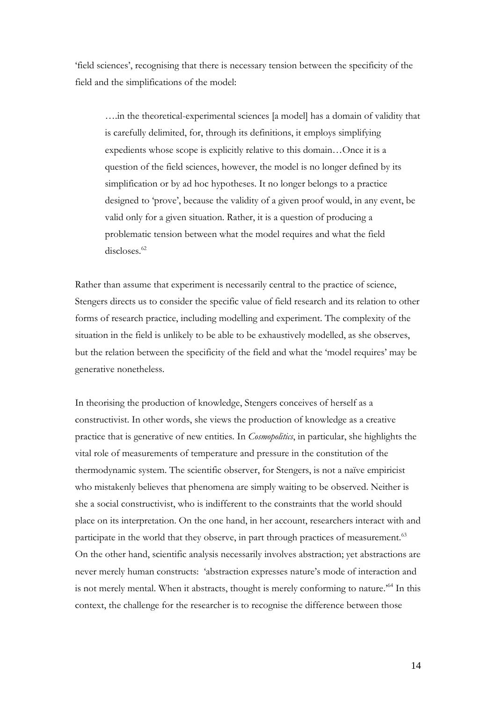'field sciences', recognising that there is necessary tension between the specificity of the field and the simplifications of the model:

….in the theoretical-experimental sciences [a model] has a domain of validity that is carefully delimited, for, through its definitions, it employs simplifying expedients whose scope is explicitly relative to this domain…Once it is a question of the field sciences, however, the model is no longer defined by its simplification or by ad hoc hypotheses. It no longer belongs to a practice designed to 'prove', because the validity of a given proof would, in any event, be valid only for a given situation. Rather, it is a question of producing a problematic tension between what the model requires and what the field discloses.<sup>62</sup>

Rather than assume that experiment is necessarily central to the practice of science, Stengers directs us to consider the specific value of field research and its relation to other forms of research practice, including modelling and experiment. The complexity of the situation in the field is unlikely to be able to be exhaustively modelled, as she observes, but the relation between the specificity of the field and what the 'model requires' may be generative nonetheless.

In theorising the production of knowledge, Stengers conceives of herself as a constructivist. In other words, she views the production of knowledge as a creative practice that is generative of new entities. In *Cosmopolitics*, in particular, she highlights the vital role of measurements of temperature and pressure in the constitution of the thermodynamic system. The scientific observer, for Stengers, is not a naïve empiricist who mistakenly believes that phenomena are simply waiting to be observed. Neither is she a social constructivist, who is indifferent to the constraints that the world should place on its interpretation. On the one hand, in her account, researchers interact with and participate in the world that they observe, in part through practices of measurement.<sup>63</sup> On the other hand, scientific analysis necessarily involves abstraction; yet abstractions are never merely human constructs: 'abstraction expresses nature's mode of interaction and is not merely mental. When it abstracts, thought is merely conforming to nature.<sup>'64</sup> In this context, the challenge for the researcher is to recognise the difference between those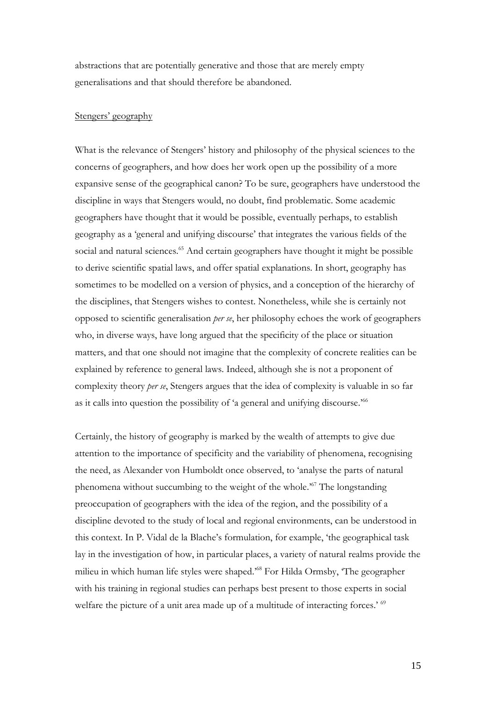abstractions that are potentially generative and those that are merely empty generalisations and that should therefore be abandoned.

## Stengers' geography

What is the relevance of Stengers' history and philosophy of the physical sciences to the concerns of geographers, and how does her work open up the possibility of a more expansive sense of the geographical canon? To be sure, geographers have understood the discipline in ways that Stengers would, no doubt, find problematic. Some academic geographers have thought that it would be possible, eventually perhaps, to establish geography as a 'general and unifying discourse' that integrates the various fields of the social and natural sciences.<sup>65</sup> And certain geographers have thought it might be possible to derive scientific spatial laws, and offer spatial explanations. In short, geography has sometimes to be modelled on a version of physics, and a conception of the hierarchy of the disciplines, that Stengers wishes to contest. Nonetheless, while she is certainly not opposed to scientific generalisation *per se*, her philosophy echoes the work of geographers who, in diverse ways, have long argued that the specificity of the place or situation matters, and that one should not imagine that the complexity of concrete realities can be explained by reference to general laws. Indeed, although she is not a proponent of complexity theory *per se*, Stengers argues that the idea of complexity is valuable in so far as it calls into question the possibility of 'a general and unifying discourse.' 66

Certainly, the history of geography is marked by the wealth of attempts to give due attention to the importance of specificity and the variability of phenomena, recognising the need, as Alexander von Humboldt once observed, to 'analyse the parts of natural phenomena without succumbing to the weight of the whole.' <sup>67</sup> The longstanding preoccupation of geographers with the idea of the region, and the possibility of a discipline devoted to the study of local and regional environments, can be understood in this context. In P. Vidal de la Blache's formulation, for example, 'the geographical task lay in the investigation of how, in particular places, a variety of natural realms provide the milieu in which human life styles were shaped.' <sup>68</sup> For Hilda Ormsby, 'The geographer with his training in regional studies can perhaps best present to those experts in social welfare the picture of a unit area made up of a multitude of interacting forces.' <sup>69</sup>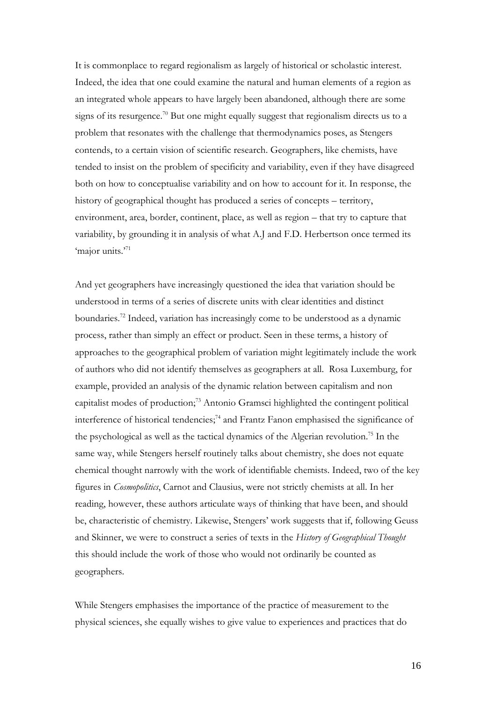It is commonplace to regard regionalism as largely of historical or scholastic interest. Indeed, the idea that one could examine the natural and human elements of a region as an integrated whole appears to have largely been abandoned, although there are some signs of its resurgence.<sup>70</sup> But one might equally suggest that regionalism directs us to a problem that resonates with the challenge that thermodynamics poses, as Stengers contends, to a certain vision of scientific research. Geographers, like chemists, have tended to insist on the problem of specificity and variability, even if they have disagreed both on how to conceptualise variability and on how to account for it. In response, the history of geographical thought has produced a series of concepts – territory, environment, area, border, continent, place, as well as region – that try to capture that variability, by grounding it in analysis of what A.J and F.D. Herbertson once termed its 'major units.'<sup>71</sup>

And yet geographers have increasingly questioned the idea that variation should be understood in terms of a series of discrete units with clear identities and distinct boundaries.<sup>72</sup> Indeed, variation has increasingly come to be understood as a dynamic process, rather than simply an effect or product. Seen in these terms, a history of approaches to the geographical problem of variation might legitimately include the work of authors who did not identify themselves as geographers at all. Rosa Luxemburg, for example, provided an analysis of the dynamic relation between capitalism and non capitalist modes of production; <sup>73</sup> Antonio Gramsci highlighted the contingent political interference of historical tendencies; <sup>74</sup> and Frantz Fanon emphasised the significance of the psychological as well as the tactical dynamics of the Algerian revolution. <sup>75</sup> In the same way, while Stengers herself routinely talks about chemistry, she does not equate chemical thought narrowly with the work of identifiable chemists. Indeed, two of the key figures in *Cosmopolitics*, Carnot and Clausius, were not strictly chemists at all. In her reading, however, these authors articulate ways of thinking that have been, and should be, characteristic of chemistry. Likewise, Stengers' work suggests that if, following Geuss and Skinner, we were to construct a series of texts in the *History of Geographical Thought* this should include the work of those who would not ordinarily be counted as geographers.

While Stengers emphasises the importance of the practice of measurement to the physical sciences, she equally wishes to give value to experiences and practices that do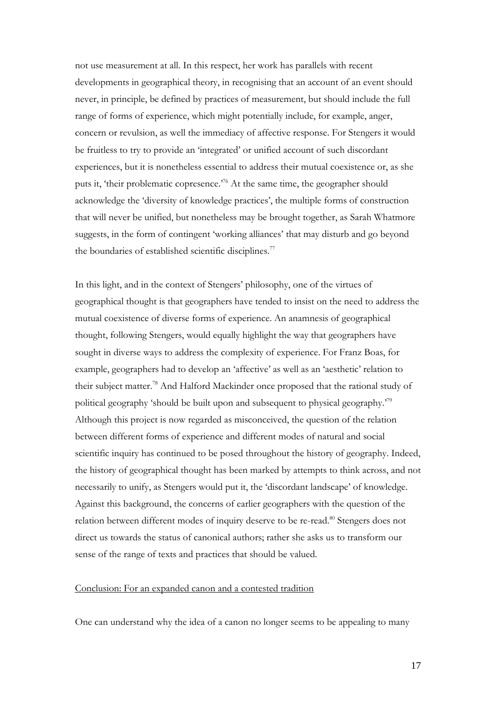not use measurement at all. In this respect, her work has parallels with recent developments in geographical theory, in recognising that an account of an event should never, in principle, be defined by practices of measurement, but should include the full range of forms of experience, which might potentially include, for example, anger, concern or revulsion, as well the immediacy of affective response. For Stengers it would be fruitless to try to provide an 'integrated' or unified account of such discordant experiences, but it is nonetheless essential to address their mutual coexistence or, as she puts it, 'their problematic copresence.<sup>76</sup> At the same time, the geographer should acknowledge the 'diversity of knowledge practices', the multiple forms of construction that will never be unified, but nonetheless may be brought together, as Sarah Whatmore suggests, in the form of contingent 'working alliances' that may disturb and go beyond the boundaries of established scientific disciplines.<sup>77</sup>

In this light, and in the context of Stengers' philosophy, one of the virtues of geographical thought is that geographers have tended to insist on the need to address the mutual coexistence of diverse forms of experience. An anamnesis of geographical thought, following Stengers, would equally highlight the way that geographers have sought in diverse ways to address the complexity of experience. For Franz Boas, for example, geographers had to develop an 'affective' as well as an 'aesthetic' relation to their subject matter.<sup>78</sup> And Halford Mackinder once proposed that the rational study of political geography 'should be built upon and subsequent to physical geography.' 79 Although this project is now regarded as misconceived, the question of the relation between different forms of experience and different modes of natural and social scientific inquiry has continued to be posed throughout the history of geography. Indeed, the history of geographical thought has been marked by attempts to think across, and not necessarily to unify, as Stengers would put it, the 'discordant landscape' of knowledge. Against this background, the concerns of earlier geographers with the question of the relation between different modes of inquiry deserve to be re-read.<sup>80</sup> Stengers does not direct us towards the status of canonical authors; rather she asks us to transform our sense of the range of texts and practices that should be valued.

## Conclusion: For an expanded canon and a contested tradition

One can understand why the idea of a canon no longer seems to be appealing to many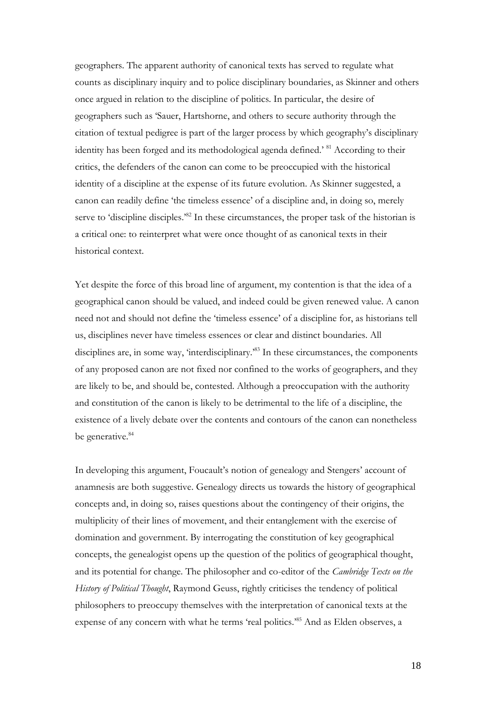geographers. The apparent authority of canonical texts has served to regulate what counts as disciplinary inquiry and to police disciplinary boundaries, as Skinner and others once argued in relation to the discipline of politics. In particular, the desire of geographers such as 'Sauer, Hartshorne, and others to secure authority through the citation of textual pedigree is part of the larger process by which geography's disciplinary identity has been forged and its methodological agenda defined.' <sup>81</sup> According to their critics, the defenders of the canon can come to be preoccupied with the historical identity of a discipline at the expense of its future evolution. As Skinner suggested, a canon can readily define 'the timeless essence' of a discipline and, in doing so, merely serve to 'discipline disciples.<sup>82</sup> In these circumstances, the proper task of the historian is a critical one: to reinterpret what were once thought of as canonical texts in their historical context.

Yet despite the force of this broad line of argument, my contention is that the idea of a geographical canon should be valued, and indeed could be given renewed value. A canon need not and should not define the 'timeless essence' of a discipline for, as historians tell us, disciplines never have timeless essences or clear and distinct boundaries. All disciplines are, in some way, 'interdisciplinary.<sup>83</sup> In these circumstances, the components of any proposed canon are not fixed nor confined to the works of geographers, and they are likely to be, and should be, contested. Although a preoccupation with the authority and constitution of the canon is likely to be detrimental to the life of a discipline, the existence of a lively debate over the contents and contours of the canon can nonetheless be generative.<sup>84</sup>

In developing this argument, Foucault's notion of genealogy and Stengers' account of anamnesis are both suggestive. Genealogy directs us towards the history of geographical concepts and, in doing so, raises questions about the contingency of their origins, the multiplicity of their lines of movement, and their entanglement with the exercise of domination and government. By interrogating the constitution of key geographical concepts, the genealogist opens up the question of the politics of geographical thought, and its potential for change. The philosopher and co-editor of the *Cambridge Texts on the History of Political Thought*, Raymond Geuss, rightly criticises the tendency of political philosophers to preoccupy themselves with the interpretation of canonical texts at the expense of any concern with what he terms 'real politics.'<sup>85</sup> And as Elden observes, a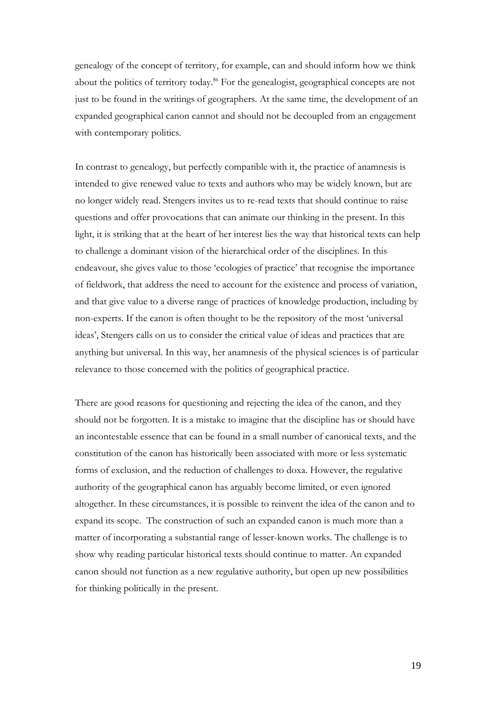genealogy of the concept of territory, for example, can and should inform how we think about the politics of territory today.<sup>86</sup> For the genealogist, geographical concepts are not just to be found in the writings of geographers. At the same time, the development of an expanded geographical canon cannot and should not be decoupled from an engagement with contemporary politics.

In contrast to genealogy, but perfectly compatible with it, the practice of anamnesis is intended to give renewed value to texts and authors who may be widely known, but are no longer widely read. Stengers invites us to re-read texts that should continue to raise questions and offer provocations that can animate our thinking in the present. In this light, it is striking that at the heart of her interest lies the way that historical texts can help to challenge a dominant vision of the hierarchical order of the disciplines. In this endeavour, she gives value to those 'ecologies of practice' that recognise the importance of fieldwork, that address the need to account for the existence and process of variation, and that give value to a diverse range of practices of knowledge production, including by non-experts. If the canon is often thought to be the repository of the most 'universal ideas', Stengers calls on us to consider the critical value of ideas and practices that are anything but universal. In this way, her anamnesis of the physical sciences is of particular relevance to those concerned with the politics of geographical practice.

There are good reasons for questioning and rejecting the idea of the canon, and they should not be forgotten. It is a mistake to imagine that the discipline has or should have an incontestable essence that can be found in a small number of canonical texts, and the constitution of the canon has historically been associated with more or less systematic forms of exclusion, and the reduction of challenges to doxa. However, the regulative authority of the geographical canon has arguably become limited, or even ignored altogether. In these circumstances, it is possible to reinvent the idea of the canon and to expand its scope. The construction of such an expanded canon is much more than a matter of incorporating a substantial range of lesser-known works. The challenge is to show why reading particular historical texts should continue to matter. An expanded canon should not function as a new regulative authority, but open up new possibilities for thinking politically in the present.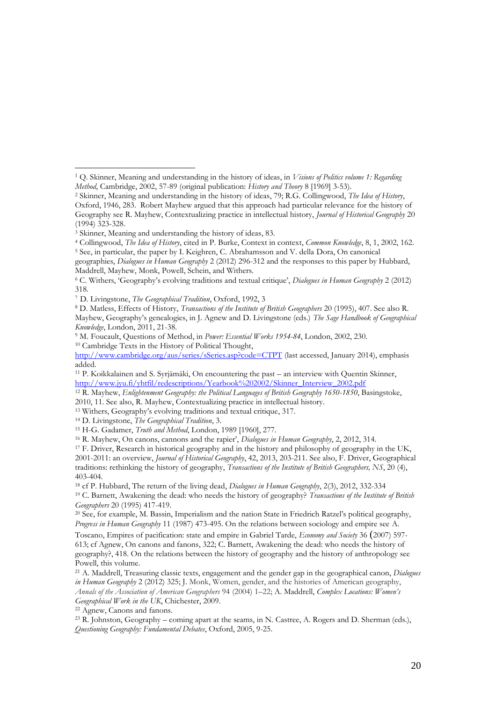$\overline{a}$ 

<sup>9</sup> M. Foucault, Questions of Method, in *Power: Essential Works 1954-84*, London, 2002, 230.

<sup>10</sup> Cambridge Texts in the History of Political Thought,

<http://www.cambridge.org/aus/series/sSeries.asp?code=CTPT> (last accessed, January 2014), emphasis added.

<sup>12</sup> R. Mayhew, *Enlightenment Geography: the Political Languages of British Geography 1650-1850*, Basingstoke, 2010, 11. See also, R. Mayhew, Contextualizing practice in intellectual history.

<sup>13</sup> Withers, Geography's evolving traditions and textual critique, 317.

<sup>14</sup> D. Livingstone, *The Geographical Tradition*, 3.

<sup>15</sup> H-G. Gadamer, *Truth and Method*, London, 1989 [1960], 277.

<sup>16</sup> R. Mayhew, On canons, cannons and the rapier', *Dialogues in Human Geography*, 2, 2012, 314.

<sup>17</sup> F. Driver, Research in historical geography and in the history and philosophy of geography in the UK, 2001-2011: an overview, *Journal of Historical Geography*, 42, 2013, 203-211. See also, F. Driver, Geographical traditions: rethinking the history of geography, *Transactions of the Institute of British Geographers, NS*, 20 (4), 403-404.

<sup>18</sup> cf P. Hubbard, The return of the living dead, *Dialogues in Human Geography*, 2(3), 2012, 332-334 <sup>19</sup> C. Barnett, Awakening the dead: who needs the history of geography? *Transactions of the Institute of British* 

*Geographers* 20 (1995) 417-419.

<sup>20</sup> See, for example, M. Bassin, Imperialism and the nation State in Friedrich Ratzel's political geography, *Progress in Human Geography* 11 (1987) 473-495. On the relations between sociology and empire see A.

Toscano, Empires of pacification: state and empire in Gabriel Tarde, *Economy and Society* 36 (2007) 597- 613; cf Agnew, On canons and fanons, 322; C. Barnett, Awakening the dead: who needs the history of geography?, 418. On the relations between the history of geography and the history of anthropology see Powell, this volume.

<sup>21</sup> A. Maddrell, Treasuring classic texts, engagement and the gender gap in the geographical canon, *Dialogues in Human Geography* 2 (2012) 325; J. Monk, Women, gender, and the histories of American geography, *Annals of the Association of American Geographers* 94 (2004) 1–22; A. Maddrell, *Complex Locations: Women's Geographical Work in the UK*, Chichester, 2009.

<sup>22</sup> Agnew, Canons and fanons.

<sup>23</sup> R. Johnston, Geography – coming apart at the seams, in N. Castree, A. Rogers and D. Sherman (eds.), *Questioning Geography: Fundamental Debates*, Oxford, 2005, 9-25.

<sup>1</sup> Q. Skinner, Meaning and understanding in the history of ideas, in *Visions of Politics volume 1: Regarding Method*, Cambridge, 2002, 57-89 (original publication: *History and Theory* 8 [1969] 3-53).

<sup>2</sup> Skinner, Meaning and understanding in the history of ideas, 79; R.G. Collingwood, *The Idea of History*, Oxford, 1946, 283. Robert Mayhew argued that this approach had particular relevance for the history of Geography see R. Mayhew, Contextualizing practice in intellectual history, *Journal of Historical Geography* 20 (1994) 323-328.

<sup>3</sup> Skinner, Meaning and understanding the history of ideas, 83.

<sup>4</sup> Collingwood, *The Idea of History*, cited in P. Burke, Context in context, *Common Knowledge*, 8, 1, 2002, 162. <sup>5</sup> See, in particular, the paper by I. Keighren, C. Abrahamsson and V. della Dora, On canonical

geographies, *Dialogues in Human Geography* 2 (2012) 296-312 and the responses to this paper by Hubbard, Maddrell, Mayhew, Monk, Powell, Schein, and Withers.

<sup>6</sup> C. Withers, 'Geography's evolving traditions and textual critique', *Dialogues in Human Geography* 2 (2012) 318.

<sup>7</sup> D. Livingstone, *The Geographical Tradition*, Oxford, 1992, 3

<sup>8</sup> D. Matless, Effects of History, *Transactions of the Institute of British Geographers* 20 (1995), 407. See also R. Mayhew, Geography's genealogies, in J. Agnew and D. Livingstone (eds.) *The Sage Handbook of Geographical Knowledge*, London, 2011, 21-38.

<sup>11</sup> P. Koikkalainen and S. Syrjämäki, On encountering the past – an interview with Quentin Skinner, [http://www.jyu.fi/yhtfil/redescriptions/Yearbook%202002/Skinner\\_Interview\\_2002.pdf](http://www.jyu.fi/yhtfil/redescriptions/Yearbook%202002/Skinner_Interview_2002.pdf)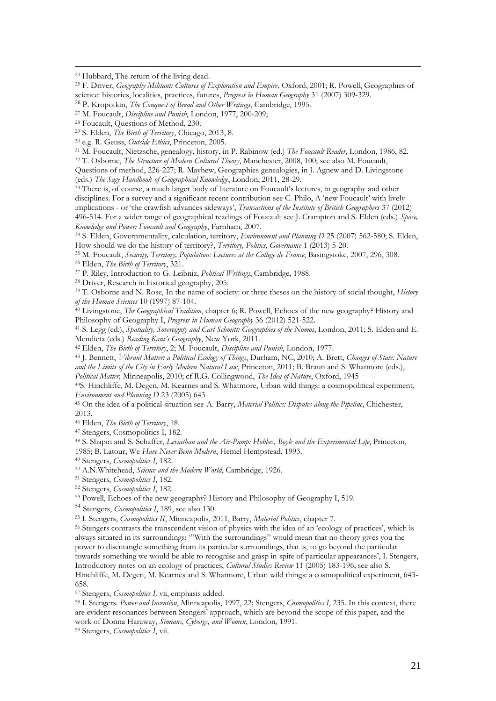$\overline{a}$ 

<sup>31</sup> M. Foucault, Nietzsche, genealogy, history, in P. Rabinow (ed.) *The Foucault Reader*, London, 1986, 82.

<sup>32</sup> T. Osborne, *The Structure of Modern Cultural Theory*, Manchester, 2008, 100; see also M. Foucault,

Questions of method, 226-227; R. Mayhew, Geographies genealogies, in J. Agnew and D. Livingstone (eds.) *The Sage Handbook of Geographical Knowledge*, London, 2011, 28-29.

<sup>33</sup> There is, of course, a much larger body of literature on Foucault's lectures, in geography and other disciplines. For a survey and a significant recent contribution see C. Philo, A 'new Foucault' with lively implications - or 'the crawfish advances sideways', *Transactions of the Institute of British Geographers* 37 (2012) 496-514. For a wider range of geographical readings of Foucault see J. Crampton and S. Elden (eds.) *Space, Knowledge and Power: Foucault and Geography*, Farnham, 2007.

<sup>34</sup> S. Elden, Governmentality, calculation, territory, *Environment and Planning D* 25 (2007) 562-580; S. Elden, How should we do the history of territory?, *Territory, Politics, Governance* 1 (2013) 5-20.

<sup>35</sup> M. Foucault, *Security, Territory, Population: Lectures at the College de France*, Basingstoke, 2007, 296, 308. <sup>36</sup> Elden, *The Birth of Territory*, 321.

<sup>37</sup> P. Riley, Introduction to G. Leibniz, *Political Writings*, Cambridge, 1988.

<sup>38</sup> Driver, Research in historical geography, 205.

<sup>39</sup> T. Osborne and N. Rose, In the name of society: or three theses on the history of social thought, *History of the Human Sciences* 10 (1997) 87-104.

<sup>40</sup> Livingstone, *The Geographical Tradition*, chapter 6; R. Powell, Echoes of the new geography? History and Philosophy of Geography I, *Progress in Human Geography* 36 (2012) 521-522.

<sup>41</sup> S. Legg (ed.), *Spatiality, Sovereignty and Carl Schmitt: Geographies of the Nomos*, London, 2011; S. Elden and E. Mendieta (eds.) *Reading Kant's Geography*, New York, 2011.

<sup>42</sup> Elden, *The Birth of Territory*, 2; M. Foucault, *Discipline and Punish*, London, 1977.

<sup>43</sup> J. Bennett, *Vibrant Matter: a Political Ecology of Things*, Durham, NC, 2010; A. Brett, *Changes of State: Nature and the Limits of the City in Early Modern Natural Law*, Princeton, 2011; B. Braun and S. Whatmore (eds.), *Political Matter,* Minneapolis, 2010; cf R.G. Collingwood, *The Idea of Nature*, Oxford, 1945

<sup>44</sup>S. Hinchliffe, M. Degen, M. Kearnes and S. Whatmore, Urban wild things: a cosmopolitical experiment, *Environment and Planning D* 23 (2005) 643.

<sup>45</sup> On the idea of a political situation see A. Barry, *Material Politics: Disputes along the Pipeline*, Chichester, 2013.

<sup>46</sup> Elden, *The Birth of Territory*, 18.

<sup>47</sup> Stengers, Cosmopolitics I, 182.

<sup>48</sup> S. Shapin and S. Schaffer, *Leviathan and the Air-Pump: Hobbes, Boyle and the Experimental Life*, Princeton,

1985; B. Latour, We *Have Never Benn Modern*, Hemel Hempstead, 1993.

<sup>49</sup> Stengers, *Cosmopolitics I*, 182.

<sup>50</sup> A.N.Whitehead, *Science and the Modern World*, Cambridge, 1926.

<sup>51</sup> Stengers, *Cosmopolitics I*, 182.

<sup>52</sup> Stengers, *Cosmopolitics I*, 182.

<sup>53</sup> Powell, Echoes of the new geography? History and Philosophy of Geography I, 519.

<sup>54</sup> Stengers, *Cosmopolitics I*, 189, see also 130.

<sup>55</sup> I. Stengers, *Cosmopolitics II*, Minneapolis, 2011, Barry, *Material Politics*, chapter 7.

<sup>56</sup> Stengers contrasts the transcendent vision of physics with the idea of an 'ecology of practices', which is always situated in its surroundings: '"With the surroundings" would mean that no theory gives you the power to disentangle something from its particular surroundings, that is, to go beyond the particular towards something we would be able to recognise and grasp in spite of particular appearances', I. Stengers, Introductory notes on an ecology of practices, *Cultural Studies Review* 11 (2005) 183-196; see also S. Hinchliffe, M. Degen, M. Kearnes and S. Whatmore, Urban wild things: a cosmopolitical experiment, 643- 658.

<sup>57</sup> Stengers, *Cosmopolitics I,* vii, emphasis added.

<sup>58</sup> I. Stengers. *Power and Invention*, Minneapolis, 1997, 22; Stengers, *Cosmopolitics I*, 235. In this context, there are evident resonances between Stengers' approach, which are beyond the scope of this paper, and the work of Donna Haraway, *Simians, Cyborgs, and Women*, London, 1991.

<sup>59</sup> Stengers, *Cosmopolitics I*, vii.

<sup>24</sup> Hubbard, The return of the living dead.

<sup>25</sup> F. Driver, *Geography Militant: Cultures of Exploration and Empire,* Oxford, 2001; R. Powell, Geographies of science: histories, localities, practices, futures, *Progress in Human Geography* 31 (2007) 309-329.

<sup>26</sup> P. Kropotkin, *The Conquest of Bread and Other Writings*, Cambridge, 1995.

<sup>27</sup> M. Foucault, *Discipline and Punish*, London, 1977, 200-209;

<sup>28</sup> Foucault, Questions of Method, 230.

<sup>29</sup> S. Elden, *The Birth of Territory*, Chicago, 2013, 8.

<sup>30</sup> e.g. R. Geuss, *Outside Ethics*, Princeton, 2005.